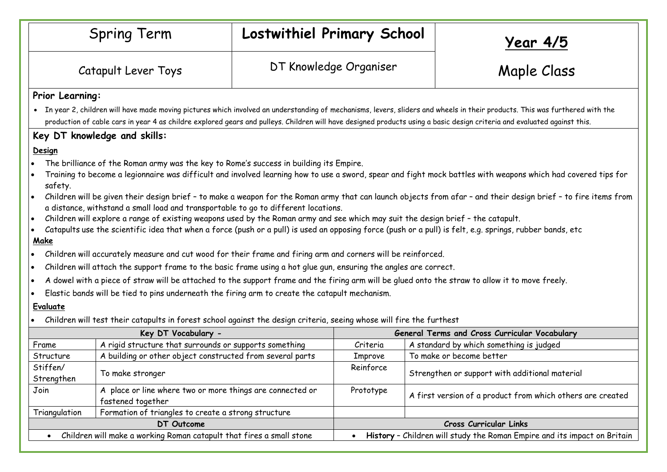|                                                                                                                                                                                                                                                                                                                                                           | <b>Spring Term</b>                                                                                                                                              |                        | Lostwithiel Primary School                    |  | <u>Year 4/5</u>                                                          |  |  |
|-----------------------------------------------------------------------------------------------------------------------------------------------------------------------------------------------------------------------------------------------------------------------------------------------------------------------------------------------------------|-----------------------------------------------------------------------------------------------------------------------------------------------------------------|------------------------|-----------------------------------------------|--|--------------------------------------------------------------------------|--|--|
|                                                                                                                                                                                                                                                                                                                                                           | Catapult Lever Toys                                                                                                                                             | DT Knowledge Organiser |                                               |  | Maple Class                                                              |  |  |
| Prior Learning:                                                                                                                                                                                                                                                                                                                                           |                                                                                                                                                                 |                        |                                               |  |                                                                          |  |  |
| • In year 2, children will have made moving pictures which involved an understanding of mechanisms, levers, sliders and wheels in their products. This was furthered with the<br>production of cable cars in year 4 as childre explored gears and pulleys. Children will have designed products using a basic design criteria and evaluated against this. |                                                                                                                                                                 |                        |                                               |  |                                                                          |  |  |
| Key DT knowledge and skills:                                                                                                                                                                                                                                                                                                                              |                                                                                                                                                                 |                        |                                               |  |                                                                          |  |  |
| Design                                                                                                                                                                                                                                                                                                                                                    |                                                                                                                                                                 |                        |                                               |  |                                                                          |  |  |
| The brilliance of the Roman army was the key to Rome's success in building its Empire.                                                                                                                                                                                                                                                                    |                                                                                                                                                                 |                        |                                               |  |                                                                          |  |  |
| safety.                                                                                                                                                                                                                                                                                                                                                   | Training to become a legionnaire was difficult and involved learning how to use a sword, spear and fight mock battles with weapons which had covered tips for   |                        |                                               |  |                                                                          |  |  |
|                                                                                                                                                                                                                                                                                                                                                           | Children will be given their design brief - to make a weapon for the Roman army that can launch objects from afar - and their design brief - to fire items from |                        |                                               |  |                                                                          |  |  |
| a distance, withstand a small load and transportable to go to different locations.                                                                                                                                                                                                                                                                        |                                                                                                                                                                 |                        |                                               |  |                                                                          |  |  |
|                                                                                                                                                                                                                                                                                                                                                           | Children will explore a range of existing weapons used by the Roman army and see which may suit the design brief - the catapult.                                |                        |                                               |  |                                                                          |  |  |
| Catapults use the scientific idea that when a force (push or a pull) is used an opposing force (push or a pull) is felt, e.g. springs, rubber bands, etc<br>Make                                                                                                                                                                                          |                                                                                                                                                                 |                        |                                               |  |                                                                          |  |  |
| Children will accurately measure and cut wood for their frame and firing arm and corners will be reinforced.                                                                                                                                                                                                                                              |                                                                                                                                                                 |                        |                                               |  |                                                                          |  |  |
|                                                                                                                                                                                                                                                                                                                                                           | Children will attach the support frame to the basic frame using a hot glue gun, ensuring the angles are correct.                                                |                        |                                               |  |                                                                          |  |  |
|                                                                                                                                                                                                                                                                                                                                                           | A dowel with a piece of straw will be attached to the support frame and the firing arm will be glued onto the straw to allow it to move freely.                 |                        |                                               |  |                                                                          |  |  |
| Elastic bands will be tied to pins underneath the firing arm to create the catapult mechanism.                                                                                                                                                                                                                                                            |                                                                                                                                                                 |                        |                                               |  |                                                                          |  |  |
| Evaluate                                                                                                                                                                                                                                                                                                                                                  |                                                                                                                                                                 |                        |                                               |  |                                                                          |  |  |
|                                                                                                                                                                                                                                                                                                                                                           | Children will test their catapults in forest school against the design criteria, seeing whose will fire the furthest                                            |                        |                                               |  |                                                                          |  |  |
| Key DT Vocabulary -                                                                                                                                                                                                                                                                                                                                       |                                                                                                                                                                 |                        | General Terms and Cross Curricular Vocabulary |  |                                                                          |  |  |
| Frame                                                                                                                                                                                                                                                                                                                                                     | A rigid structure that surrounds or supports something                                                                                                          |                        | Criteria                                      |  | A standard by which something is judged                                  |  |  |
| Structure                                                                                                                                                                                                                                                                                                                                                 | A building or other object constructed from several parts                                                                                                       |                        | Improve                                       |  | To make or become better                                                 |  |  |
| Stiffen/<br>Strengthen                                                                                                                                                                                                                                                                                                                                    | To make stronger                                                                                                                                                |                        | Reinforce                                     |  | Strengthen or support with additional material                           |  |  |
| Join                                                                                                                                                                                                                                                                                                                                                      | A place or line where two or more things are connected or<br>fastened together                                                                                  |                        | Prototype                                     |  | A first version of a product from which others are created               |  |  |
| Triangulation                                                                                                                                                                                                                                                                                                                                             | Formation of triangles to create a strong structure                                                                                                             |                        |                                               |  |                                                                          |  |  |
| DT Outcome                                                                                                                                                                                                                                                                                                                                                |                                                                                                                                                                 |                        | Cross Curricular Links                        |  |                                                                          |  |  |
|                                                                                                                                                                                                                                                                                                                                                           | Children will make a working Roman catapult that fires a small stone                                                                                            |                        |                                               |  | History - Children will study the Roman Empire and its impact on Britain |  |  |